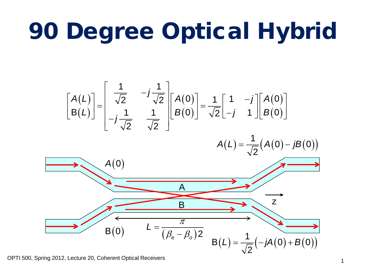## 90 Degree Optical Hybrid

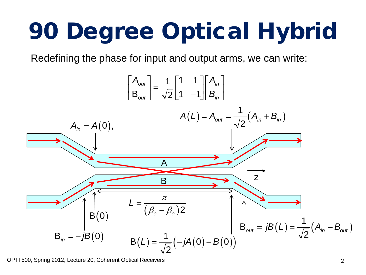# 90 Degree Optical Hybrid

Redefining the phase for input and output arms, we can write:

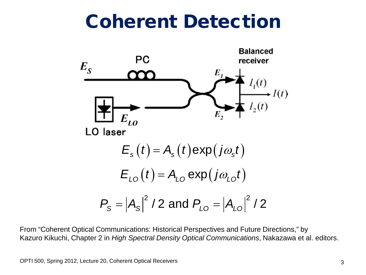### Coherent Detection



From "Coherent Optical Communications: Historical Perspectives and Future Directions," by Kazuro Kikuchi, Chapter 2 in *High Spectral Density Optical Communications*, Nakazawa et al. editors.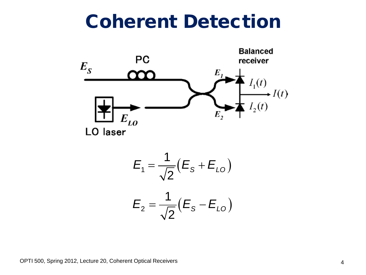#### Coherent Detection



$$
E_1=\frac{1}{\sqrt{2}}(E_{\rm S}+E_{\rm LO})
$$

$$
E_{2}=\frac{1}{\sqrt{2}}(E_{S}-E_{LO})
$$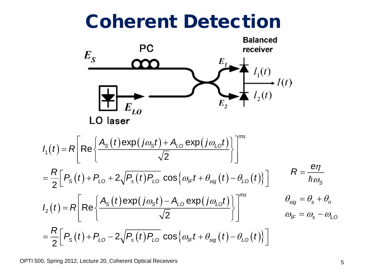#### Coherent Detection

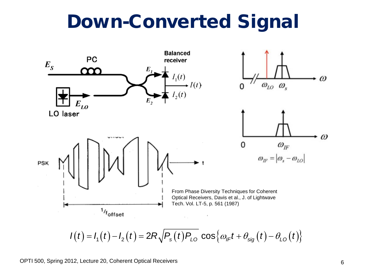#### Down-Converted Signal



$$
I(t) = I_1(t) - I_2(t) = 2R\sqrt{P_s(t)P_{L0} \cos{\omega_{IF}t + \theta_{sig}(t) - \theta_{L0}(t)}}
$$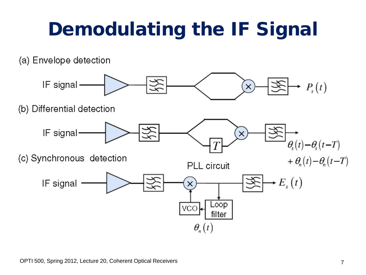## Demodulating the IF Signal